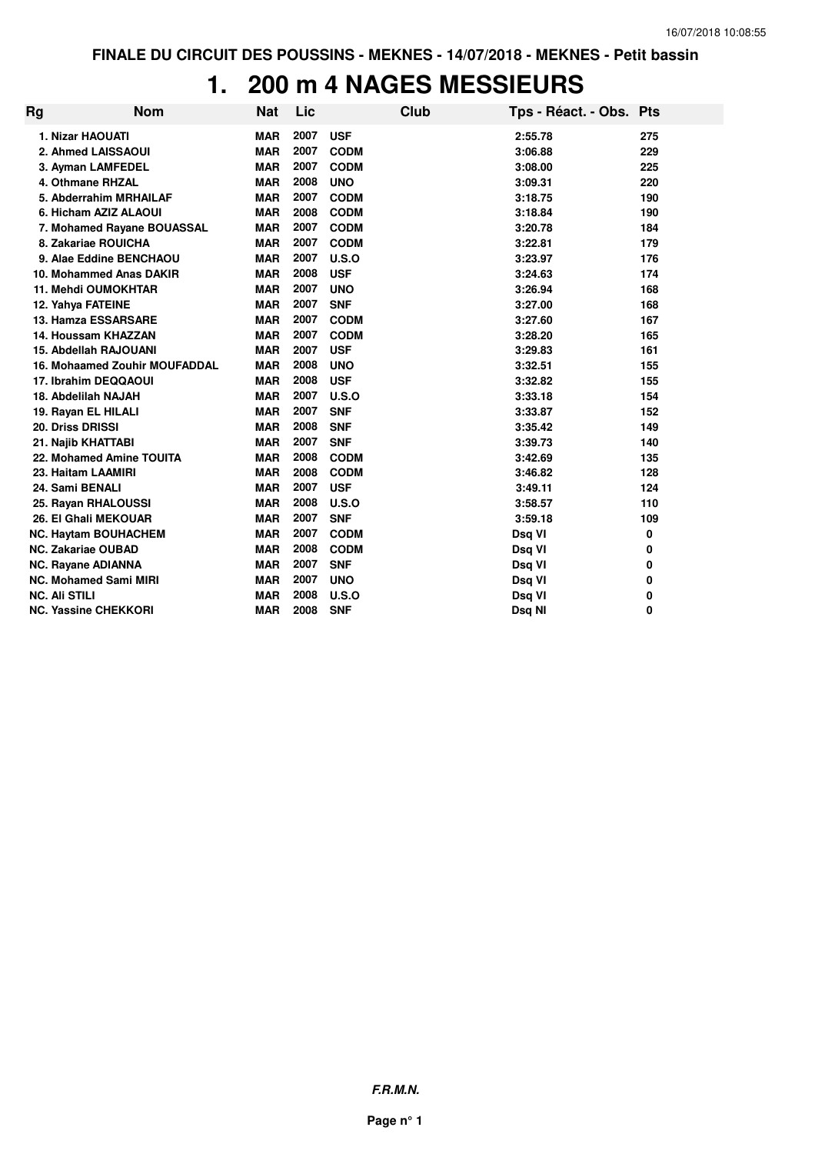#### **1. 200 m 4 NAGES MESSIEURS**

| Rg | <b>Nom</b>                           | <b>Nat</b> | Lic  |             | Club | Tps - Réact. - Obs. Pts |     |
|----|--------------------------------------|------------|------|-------------|------|-------------------------|-----|
|    | 1. Nizar HAOUATI                     | <b>MAR</b> | 2007 | <b>USF</b>  |      | 2:55.78                 | 275 |
|    | 2. Ahmed LAISSAOUI                   | <b>MAR</b> | 2007 | <b>CODM</b> |      | 3:06.88                 | 229 |
|    | 3. Ayman LAMFEDEL                    | <b>MAR</b> | 2007 | <b>CODM</b> |      | 3:08.00                 | 225 |
|    | 4. Othmane RHZAL                     | <b>MAR</b> | 2008 | <b>UNO</b>  |      | 3:09.31                 | 220 |
|    | 5. Abderrahim MRHAILAF               | <b>MAR</b> | 2007 | <b>CODM</b> |      | 3:18.75                 | 190 |
|    | 6. Hicham AZIZ ALAOUI                | <b>MAR</b> | 2008 | <b>CODM</b> |      | 3:18.84                 | 190 |
|    | 7. Mohamed Rayane BOUASSAL           | <b>MAR</b> | 2007 | <b>CODM</b> |      | 3:20.78                 | 184 |
|    | 8. Zakariae ROUICHA                  | <b>MAR</b> | 2007 | <b>CODM</b> |      | 3:22.81                 | 179 |
|    | 9. Alae Eddine BENCHAOU              | <b>MAR</b> | 2007 | U.S.O       |      | 3:23.97                 | 176 |
|    | 10. Mohammed Anas DAKIR              | <b>MAR</b> | 2008 | <b>USF</b>  |      | 3:24.63                 | 174 |
|    | <b>11. Mehdi OUMOKHTAR</b>           | <b>MAR</b> | 2007 | <b>UNO</b>  |      | 3:26.94                 | 168 |
|    | 12. Yahya FATEINE                    | <b>MAR</b> | 2007 | <b>SNF</b>  |      | 3:27.00                 | 168 |
|    | 13. Hamza ESSARSARE                  | <b>MAR</b> | 2007 | <b>CODM</b> |      | 3:27.60                 | 167 |
|    | 14. Houssam KHAZZAN                  | <b>MAR</b> | 2007 | <b>CODM</b> |      | 3:28.20                 | 165 |
|    | <b>15. Abdellah RAJOUANI</b>         | <b>MAR</b> | 2007 | <b>USF</b>  |      | 3:29.83                 | 161 |
|    | <b>16. Mohaamed Zouhir MOUFADDAL</b> | <b>MAR</b> | 2008 | <b>UNO</b>  |      | 3:32.51                 | 155 |
|    | 17. Ibrahim DEQQAOUI                 | <b>MAR</b> | 2008 | <b>USF</b>  |      | 3:32.82                 | 155 |
|    | 18. Abdelilah NAJAH                  | <b>MAR</b> | 2007 | U.S.O       |      | 3:33.18                 | 154 |
|    | 19. Rayan EL HILALI                  | <b>MAR</b> | 2007 | <b>SNF</b>  |      | 3:33.87                 | 152 |
|    | 20. Driss DRISSI                     | <b>MAR</b> | 2008 | <b>SNF</b>  |      | 3:35.42                 | 149 |
|    | 21. Najib KHATTABI                   | <b>MAR</b> | 2007 | <b>SNF</b>  |      | 3:39.73                 | 140 |
|    | 22. Mohamed Amine TOUITA             | <b>MAR</b> | 2008 | <b>CODM</b> |      | 3:42.69                 | 135 |
|    | 23. Haitam LAAMIRI                   | <b>MAR</b> | 2008 | <b>CODM</b> |      | 3:46.82                 | 128 |
|    | 24. Sami BENALI                      | <b>MAR</b> | 2007 | <b>USF</b>  |      | 3:49.11                 | 124 |
|    | 25. Rayan RHALOUSSI                  | <b>MAR</b> | 2008 | U.S.O       |      | 3:58.57                 | 110 |
|    | 26. El Ghali MEKOUAR                 | <b>MAR</b> | 2007 | <b>SNF</b>  |      | 3:59.18                 | 109 |
|    | <b>NC. Haytam BOUHACHEM</b>          | <b>MAR</b> | 2007 | <b>CODM</b> |      | Dsq VI                  | 0   |
|    | <b>NC. Zakariae OUBAD</b>            | <b>MAR</b> | 2008 | <b>CODM</b> |      | Dsq VI                  | 0   |
|    | <b>NC. Rayane ADIANNA</b>            | <b>MAR</b> | 2007 | <b>SNF</b>  |      | Dsq VI                  | 0   |
|    | <b>NC. Mohamed Sami MIRI</b>         | <b>MAR</b> | 2007 | <b>UNO</b>  |      | Dsq VI                  | 0   |
|    | <b>NC. Ali STILI</b>                 | <b>MAR</b> | 2008 | U.S.O       |      | Dsq VI                  | 0   |
|    | <b>NC. Yassine CHEKKORI</b>          | <b>MAR</b> | 2008 | <b>SNF</b>  |      | Dsq NI                  | 0   |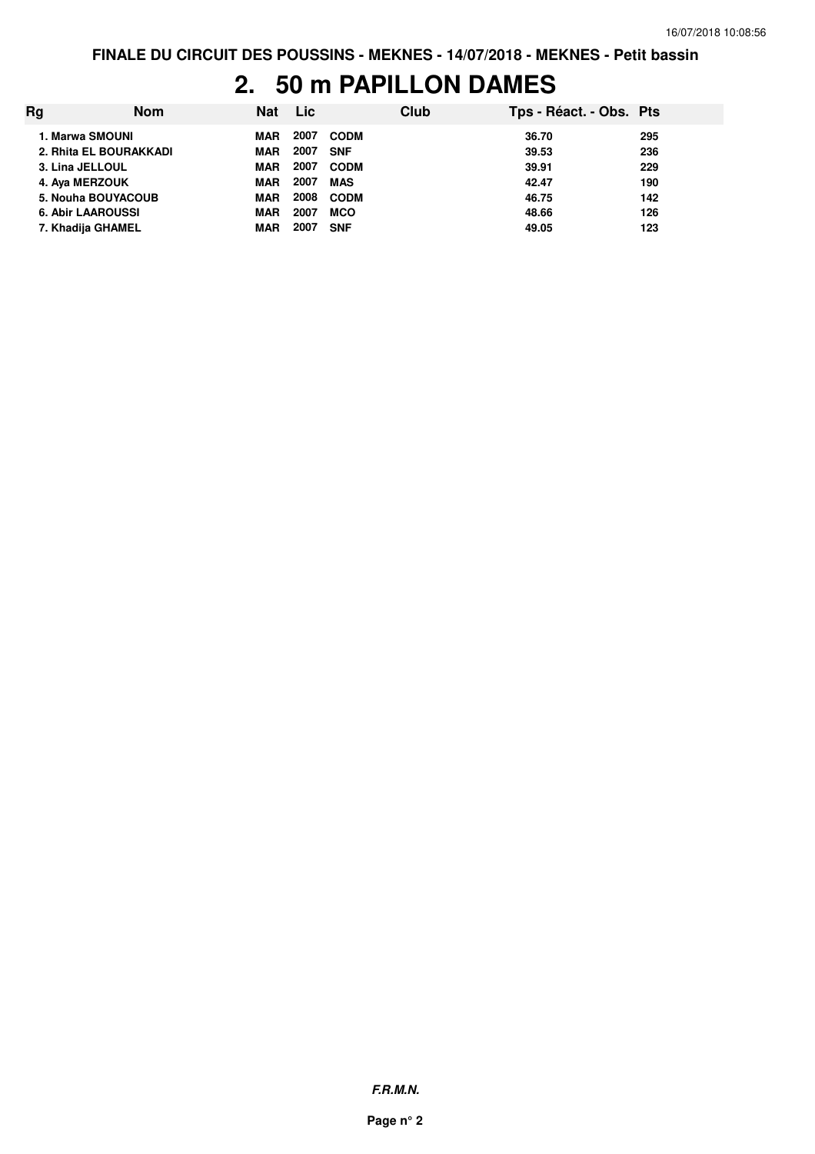#### **2. 50 m PAPILLON DAMES**

| Rq | <b>Nom</b>               | <b>Nat</b> | <b>Lic</b> |             | Club | Tps - Réact. - Obs. Pts |     |
|----|--------------------------|------------|------------|-------------|------|-------------------------|-----|
|    | 1. Marwa SMOUNI          | MAR        | 2007       | <b>CODM</b> |      | 36.70                   | 295 |
|    | 2. Rhita EL BOURAKKADI   | MAR        | 2007       | <b>SNF</b>  |      | 39.53                   | 236 |
|    | 3. Lina JELLOUL          | <b>MAR</b> | 2007       | <b>CODM</b> |      | 39.91                   | 229 |
|    | 4. Aya MERZOUK           | <b>MAR</b> | 2007       | <b>MAS</b>  |      | 42.47                   | 190 |
|    | 5. Nouha BOUYACOUB       | <b>MAR</b> | 2008       | <b>CODM</b> |      | 46.75                   | 142 |
|    | <b>6. Abir LAAROUSSI</b> | <b>MAR</b> | 2007       | <b>MCO</b>  |      | 48.66                   | 126 |
|    | 7. Khadija GHAMEL        | MAR        | 2007       | <b>SNF</b>  |      | 49.05                   | 123 |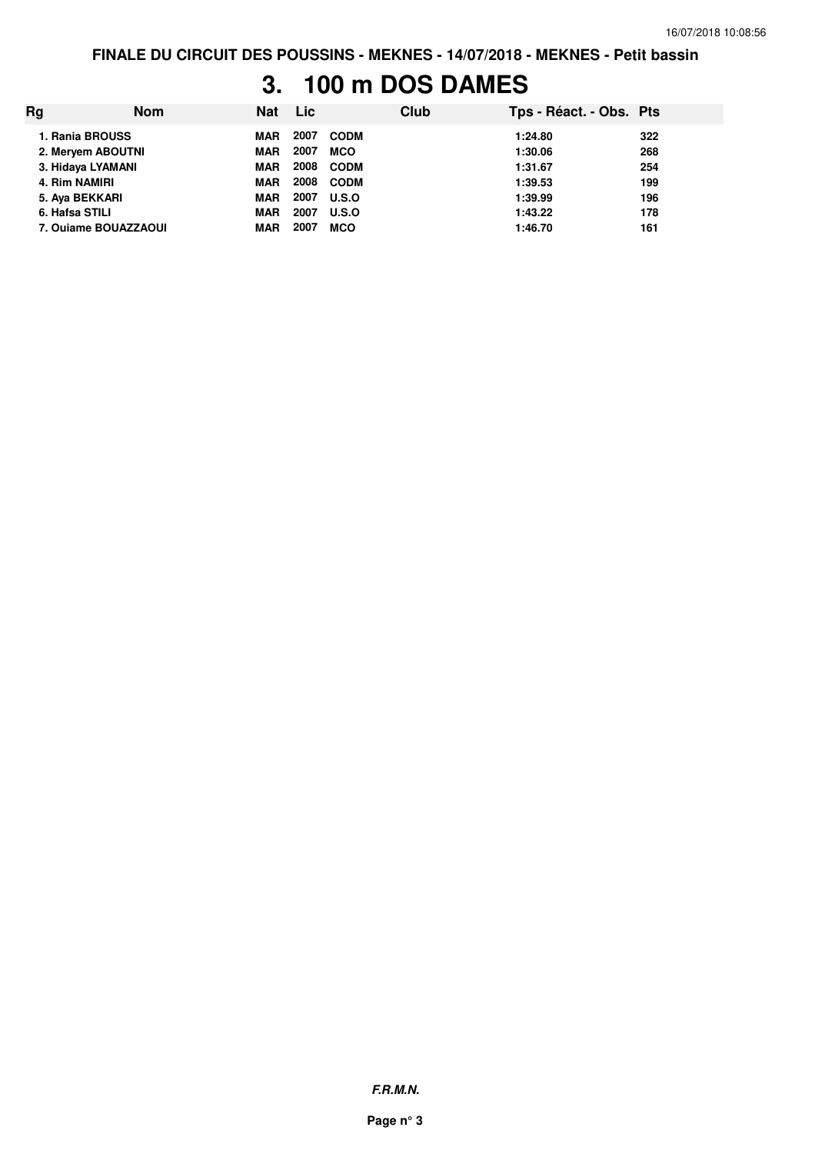#### **3. 100 m DOS DAMES**

| Rg | <b>Nom</b>           | <b>Nat</b> | <b>Lic</b> |             | Club | Tps - Réact. - Obs. Pts |     |
|----|----------------------|------------|------------|-------------|------|-------------------------|-----|
|    | 1. Rania BROUSS      | MAR        | 2007       | <b>CODM</b> |      | 1:24.80                 | 322 |
|    | 2. Meryem ABOUTNI    | <b>MAR</b> | 2007       | <b>MCO</b>  |      | 1:30.06                 | 268 |
|    | 3. Hidaya LYAMANI    | <b>MAR</b> | 2008       | <b>CODM</b> |      | 1:31.67                 | 254 |
|    | 4. Rim NAMIRI        | <b>MAR</b> | 2008       | <b>CODM</b> |      | 1:39.53                 | 199 |
|    | 5. Aya BEKKARI       | <b>MAR</b> | 2007       | U.S.O       |      | 1:39.99                 | 196 |
|    | 6. Hafsa STILI       | <b>MAR</b> | 2007       | U.S.O       |      | 1:43.22                 | 178 |
|    | 7. Ouiame BOUAZZAOUI | <b>MAR</b> | 2007       | <b>MCO</b>  |      | 1:46.70                 | 161 |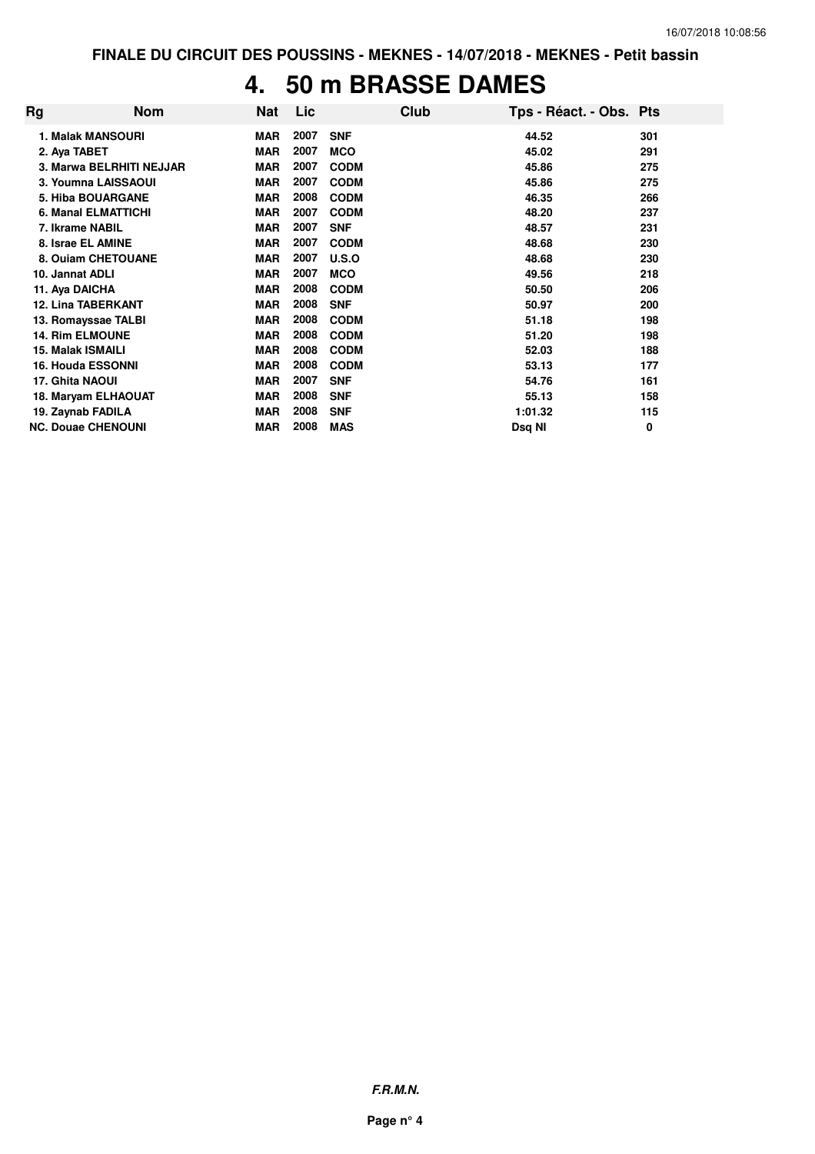#### **4. 50 m BRASSE DAMES**

| Rg | <b>Nom</b>                 | Nat        | <b>Lic</b> |             | Club | Tps - Réact. - Obs. Pts |     |
|----|----------------------------|------------|------------|-------------|------|-------------------------|-----|
|    | <b>1. Malak MANSOURI</b>   | <b>MAR</b> | 2007       | <b>SNF</b>  |      | 44.52                   | 301 |
|    | 2. Aya TABET               | <b>MAR</b> | 2007       | <b>MCO</b>  |      | 45.02                   | 291 |
|    | 3. Marwa BELRHITI NEJJAR   | <b>MAR</b> | 2007       | <b>CODM</b> |      | 45.86                   | 275 |
|    | 3. Youmna LAISSAOUI        | <b>MAR</b> | 2007       | <b>CODM</b> |      | 45.86                   | 275 |
|    | <b>5. Hiba BOUARGANE</b>   | <b>MAR</b> | 2008       | <b>CODM</b> |      | 46.35                   | 266 |
|    | <b>6. Manal ELMATTICHI</b> | <b>MAR</b> | 2007       | <b>CODM</b> |      | 48.20                   | 237 |
|    | 7. Ikrame NABIL            | <b>MAR</b> | 2007       | <b>SNF</b>  |      | 48.57                   | 231 |
|    | 8. Israe EL AMINE          | <b>MAR</b> | 2007       | <b>CODM</b> |      | 48.68                   | 230 |
|    | 8. Ouiam CHETOUANE         | <b>MAR</b> | 2007       | U.S.O       |      | 48.68                   | 230 |
|    | 10. Jannat ADLI            | <b>MAR</b> | 2007       | <b>MCO</b>  |      | 49.56                   | 218 |
|    | 11. Aya DAICHA             | <b>MAR</b> | 2008       | <b>CODM</b> |      | 50.50                   | 206 |
|    | <b>12. Lina TABERKANT</b>  | <b>MAR</b> | 2008       | <b>SNF</b>  |      | 50.97                   | 200 |
|    | 13. Romayssae TALBI        | <b>MAR</b> | 2008       | <b>CODM</b> |      | 51.18                   | 198 |
|    | <b>14. Rim ELMOUNE</b>     | <b>MAR</b> | 2008       | <b>CODM</b> |      | 51.20                   | 198 |
|    | <b>15. Malak ISMAILI</b>   | <b>MAR</b> | 2008       | <b>CODM</b> |      | 52.03                   | 188 |
|    | <b>16. Houda ESSONNI</b>   | <b>MAR</b> | 2008       | <b>CODM</b> |      | 53.13                   | 177 |
|    | 17. Ghita NAOUI            | <b>MAR</b> | 2007       | <b>SNF</b>  |      | 54.76                   | 161 |
|    | 18. Maryam ELHAOUAT        | <b>MAR</b> | 2008       | <b>SNF</b>  |      | 55.13                   | 158 |
|    | 19. Zaynab FADILA          | <b>MAR</b> | 2008       | <b>SNF</b>  |      | 1:01.32                 | 115 |
|    | <b>NC. Douae CHENOUNI</b>  | <b>MAR</b> | 2008       | <b>MAS</b>  |      | Dsq NI                  | 0   |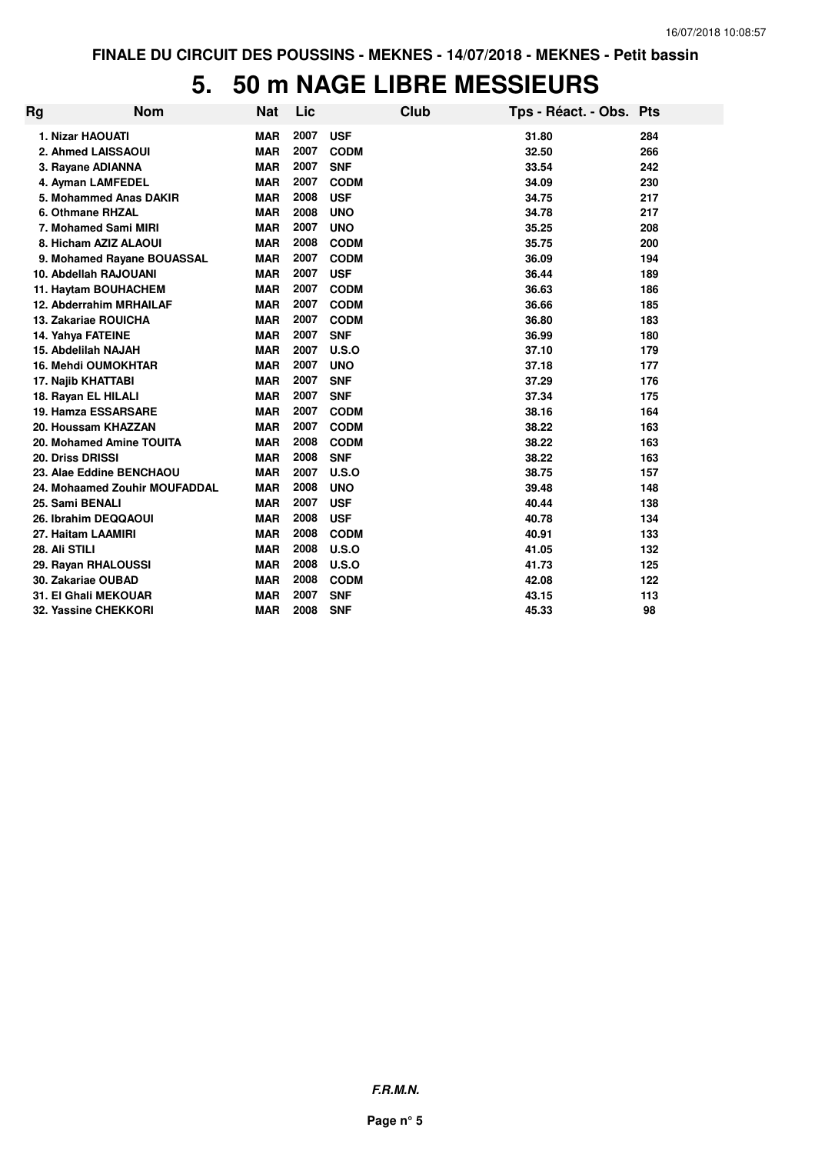## **5. 50 m NAGE LIBRE MESSIEURS**

| Rg | <b>Nom</b>                    | <b>Nat</b> | Lic  |             | <b>Club</b> | Tps - Réact. - Obs. Pts |     |
|----|-------------------------------|------------|------|-------------|-------------|-------------------------|-----|
|    | <b>1. Nizar HAOUATI</b>       | <b>MAR</b> | 2007 | <b>USF</b>  |             | 31.80                   | 284 |
|    | 2. Ahmed LAISSAOUI            | <b>MAR</b> | 2007 | <b>CODM</b> |             | 32.50                   | 266 |
|    | 3. Rayane ADIANNA             | <b>MAR</b> | 2007 | <b>SNF</b>  |             | 33.54                   | 242 |
|    | 4. Ayman LAMFEDEL             | <b>MAR</b> | 2007 | <b>CODM</b> |             | 34.09                   | 230 |
|    | 5. Mohammed Anas DAKIR        | <b>MAR</b> | 2008 | <b>USF</b>  |             | 34.75                   | 217 |
|    | 6. Othmane RHZAL              | <b>MAR</b> | 2008 | <b>UNO</b>  |             | 34.78                   | 217 |
|    | 7. Mohamed Sami MIRI          | <b>MAR</b> | 2007 | <b>UNO</b>  |             | 35.25                   | 208 |
|    | 8. Hicham AZIZ ALAOUI         | <b>MAR</b> | 2008 | <b>CODM</b> |             | 35.75                   | 200 |
|    | 9. Mohamed Rayane BOUASSAL    | <b>MAR</b> | 2007 | <b>CODM</b> |             | 36.09                   | 194 |
|    | 10. Abdellah RAJOUANI         | <b>MAR</b> | 2007 | <b>USF</b>  |             | 36.44                   | 189 |
|    | 11. Haytam BOUHACHEM          | <b>MAR</b> | 2007 | <b>CODM</b> |             | 36.63                   | 186 |
|    | 12. Abderrahim MRHAILAF       | <b>MAR</b> | 2007 | <b>CODM</b> |             | 36.66                   | 185 |
|    | <b>13. Zakariae ROUICHA</b>   | <b>MAR</b> | 2007 | <b>CODM</b> |             | 36.80                   | 183 |
|    | 14. Yahya FATEINE             | <b>MAR</b> | 2007 | <b>SNF</b>  |             | 36.99                   | 180 |
|    | 15. Abdelilah NAJAH           | <b>MAR</b> | 2007 | U.S.O       |             | 37.10                   | 179 |
|    | <b>16. Mehdi OUMOKHTAR</b>    | <b>MAR</b> | 2007 | <b>UNO</b>  |             | 37.18                   | 177 |
|    | 17. Najib KHATTABI            | <b>MAR</b> | 2007 | <b>SNF</b>  |             | 37.29                   | 176 |
|    | 18. Rayan EL HILALI           | <b>MAR</b> | 2007 | <b>SNF</b>  |             | 37.34                   | 175 |
|    | 19. Hamza ESSARSARE           | <b>MAR</b> | 2007 | <b>CODM</b> |             | 38.16                   | 164 |
|    | 20. Houssam KHAZZAN           | <b>MAR</b> | 2007 | <b>CODM</b> |             | 38.22                   | 163 |
|    | 20. Mohamed Amine TOUITA      | <b>MAR</b> | 2008 | <b>CODM</b> |             | 38.22                   | 163 |
|    | 20. Driss DRISSI              | <b>MAR</b> | 2008 | <b>SNF</b>  |             | 38.22                   | 163 |
|    | 23. Alae Eddine BENCHAOU      | <b>MAR</b> | 2007 | U.S.O       |             | 38.75                   | 157 |
|    | 24. Mohaamed Zouhir MOUFADDAL | <b>MAR</b> | 2008 | <b>UNO</b>  |             | 39.48                   | 148 |
|    | 25. Sami BENALI               | <b>MAR</b> | 2007 | <b>USF</b>  |             | 40.44                   | 138 |
|    | 26. Ibrahim DEQQAOUI          | <b>MAR</b> | 2008 | <b>USF</b>  |             | 40.78                   | 134 |
|    | 27. Haitam LAAMIRI            | <b>MAR</b> | 2008 | <b>CODM</b> |             | 40.91                   | 133 |
|    | 28. Ali STILI                 | <b>MAR</b> | 2008 | U.S.O       |             | 41.05                   | 132 |
|    | 29. Rayan RHALOUSSI           | <b>MAR</b> | 2008 | U.S.O       |             | 41.73                   | 125 |
|    | 30. Zakariae OUBAD            | <b>MAR</b> | 2008 | <b>CODM</b> |             | 42.08                   | 122 |
|    | <b>31. El Ghali MEKOUAR</b>   | <b>MAR</b> | 2007 | <b>SNF</b>  |             | 43.15                   | 113 |
|    | 32. Yassine CHEKKORI          | <b>MAR</b> | 2008 | <b>SNF</b>  |             | 45.33                   | 98  |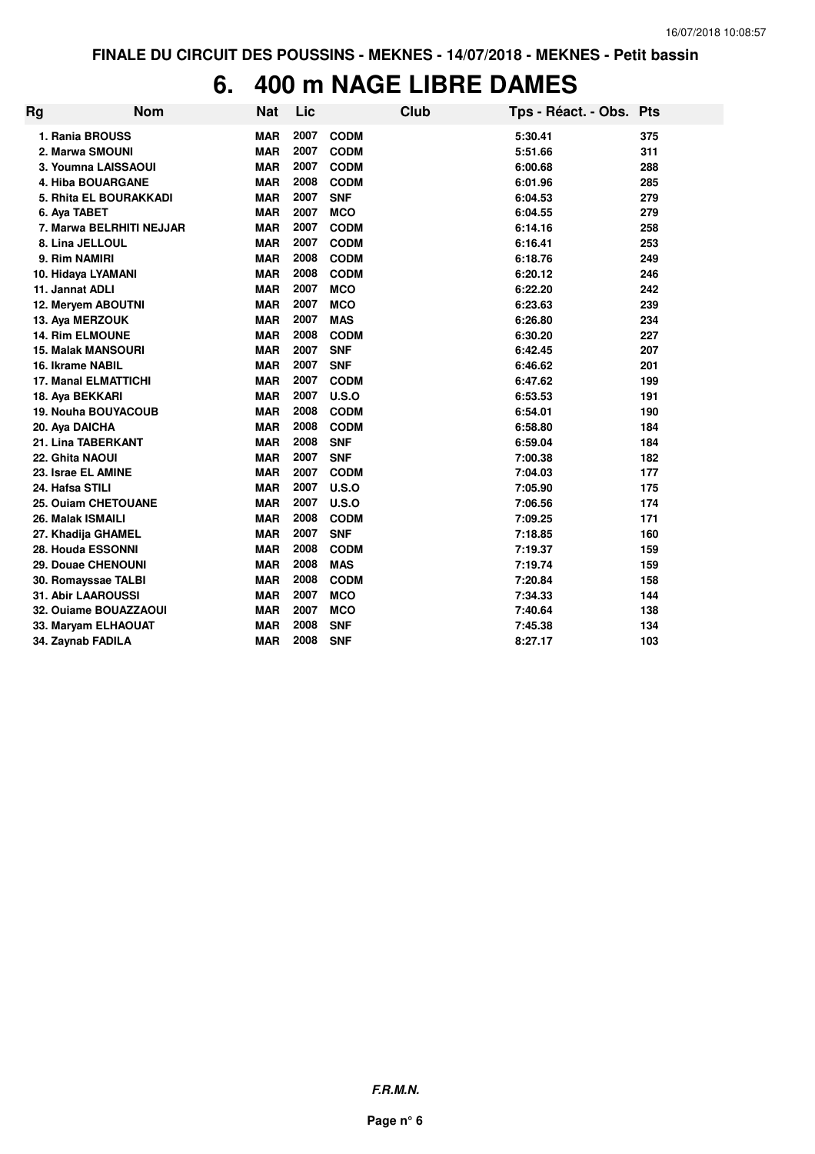## **6. 400 m NAGE LIBRE DAMES**

| Rg                          | <b>Nom</b> | Nat        | Lic  |             | <b>Club</b> | Tps - Réact. - Obs. Pts |     |
|-----------------------------|------------|------------|------|-------------|-------------|-------------------------|-----|
| 1. Rania BROUSS             |            | <b>MAR</b> | 2007 | <b>CODM</b> |             | 5:30.41                 | 375 |
| 2. Marwa SMOUNI             |            | <b>MAR</b> | 2007 | <b>CODM</b> |             | 5:51.66                 | 311 |
| 3. Youmna LAISSAOUI         |            | <b>MAR</b> | 2007 | <b>CODM</b> |             | 6:00.68                 | 288 |
| <b>4. Hiba BOUARGANE</b>    |            | <b>MAR</b> | 2008 | <b>CODM</b> |             | 6:01.96                 | 285 |
| 5. Rhita EL BOURAKKADI      |            | <b>MAR</b> | 2007 | <b>SNF</b>  |             | 6:04.53                 | 279 |
| 6. Aya TABET                |            | <b>MAR</b> | 2007 | <b>MCO</b>  |             | 6:04.55                 | 279 |
| 7. Marwa BELRHITI NEJJAR    |            | <b>MAR</b> | 2007 | <b>CODM</b> |             | 6:14.16                 | 258 |
| 8. Lina JELLOUL             |            | <b>MAR</b> | 2007 | <b>CODM</b> |             | 6:16.41                 | 253 |
| 9. Rim NAMIRI               |            | <b>MAR</b> | 2008 | <b>CODM</b> |             | 6:18.76                 | 249 |
| 10. Hidaya LYAMANI          |            | <b>MAR</b> | 2008 | <b>CODM</b> |             | 6:20.12                 | 246 |
| 11. Jannat ADLI             |            | <b>MAR</b> | 2007 | <b>MCO</b>  |             | 6:22.20                 | 242 |
| 12. Meryem ABOUTNI          |            | <b>MAR</b> | 2007 | <b>MCO</b>  |             | 6:23.63                 | 239 |
| 13. Aya MERZOUK             |            | <b>MAR</b> | 2007 | <b>MAS</b>  |             | 6:26.80                 | 234 |
| <b>14. Rim ELMOUNE</b>      |            | <b>MAR</b> | 2008 | <b>CODM</b> |             | 6:30.20                 | 227 |
| <b>15. Malak MANSOURI</b>   |            | <b>MAR</b> | 2007 | <b>SNF</b>  |             | 6:42.45                 | 207 |
| 16. Ikrame NABIL            |            | <b>MAR</b> | 2007 | <b>SNF</b>  |             | 6:46.62                 | 201 |
| <b>17. Manal ELMATTICHI</b> |            | <b>MAR</b> | 2007 | <b>CODM</b> |             | 6:47.62                 | 199 |
| 18. Aya BEKKARI             |            | <b>MAR</b> | 2007 | U.S.O       |             | 6:53.53                 | 191 |
| 19. Nouha BOUYACOUB         |            | <b>MAR</b> | 2008 | <b>CODM</b> |             | 6:54.01                 | 190 |
| 20. Aya DAICHA              |            | <b>MAR</b> | 2008 | <b>CODM</b> |             | 6:58.80                 | 184 |
| 21. Lina TABERKANT          |            | <b>MAR</b> | 2008 | <b>SNF</b>  |             | 6:59.04                 | 184 |
| 22. Ghita NAOUI             |            | <b>MAR</b> | 2007 | <b>SNF</b>  |             | 7:00.38                 | 182 |
| 23. Israe EL AMINE          |            | <b>MAR</b> | 2007 | <b>CODM</b> |             | 7:04.03                 | 177 |
| 24. Hafsa STILI             |            | <b>MAR</b> | 2007 | U.S.O       |             | 7:05.90                 | 175 |
| 25. Ouiam CHETOUANE         |            | <b>MAR</b> | 2007 | U.S.O       |             | 7:06.56                 | 174 |
| 26. Malak ISMAILI           |            | <b>MAR</b> | 2008 | <b>CODM</b> |             | 7:09.25                 | 171 |
| 27. Khadija GHAMEL          |            | <b>MAR</b> | 2007 | <b>SNF</b>  |             | 7:18.85                 | 160 |
| 28. Houda ESSONNI           |            | <b>MAR</b> | 2008 | <b>CODM</b> |             | 7:19.37                 | 159 |
| 29. Douae CHENOUNI          |            | <b>MAR</b> | 2008 | <b>MAS</b>  |             | 7:19.74                 | 159 |
| 30. Romayssae TALBI         |            | <b>MAR</b> | 2008 | <b>CODM</b> |             | 7:20.84                 | 158 |
| <b>31. Abir LAAROUSSI</b>   |            | <b>MAR</b> | 2007 | <b>MCO</b>  |             | 7:34.33                 | 144 |
| 32. Ouiame BOUAZZAOUI       |            | <b>MAR</b> | 2007 | <b>MCO</b>  |             | 7:40.64                 | 138 |
| 33. Maryam ELHAOUAT         |            | <b>MAR</b> | 2008 | <b>SNF</b>  |             | 7:45.38                 | 134 |
| 34. Zaynab FADILA           |            | <b>MAR</b> | 2008 | <b>SNF</b>  |             | 8:27.17                 | 103 |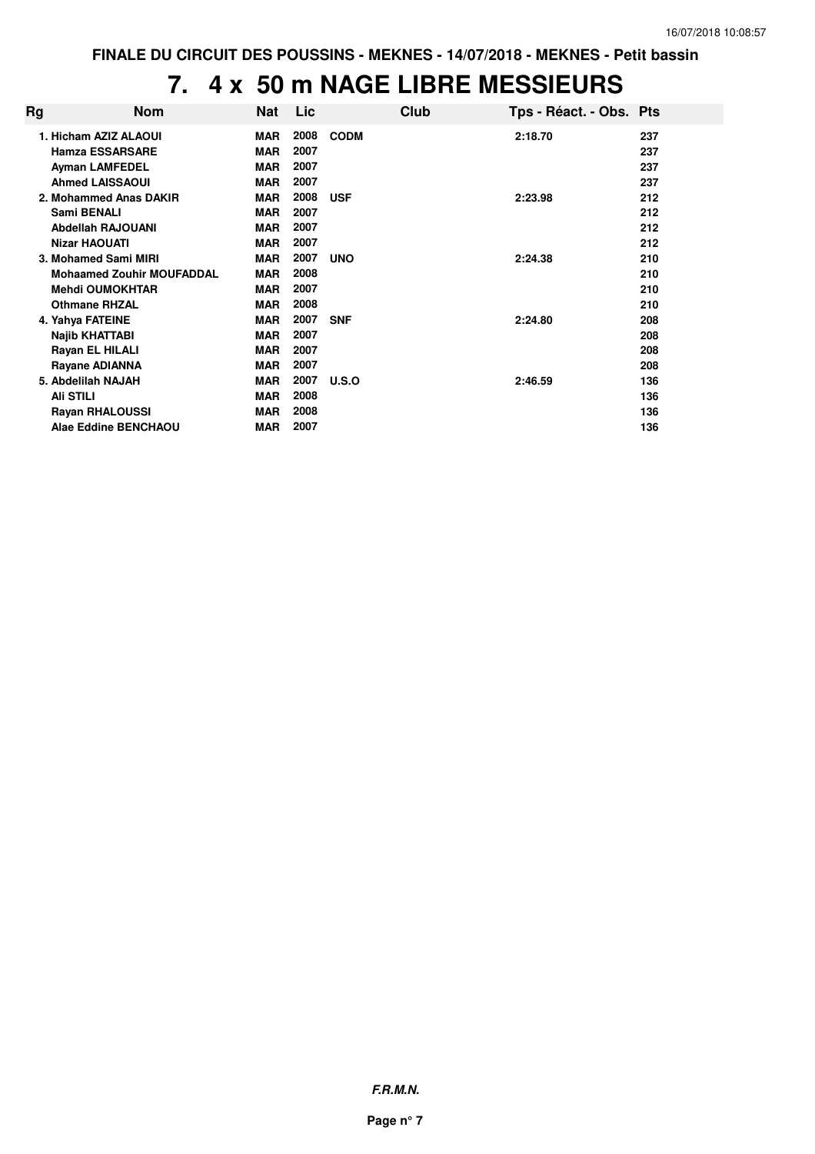# **7. 4 x 50 m NAGE LIBRE MESSIEURS**

| Rg | Nom                              | Nat        | Lic  |             | Club | Tps - Réact. - Obs. Pts |     |
|----|----------------------------------|------------|------|-------------|------|-------------------------|-----|
|    | 1. Hicham AZIZ ALAOUI            | <b>MAR</b> | 2008 | <b>CODM</b> |      | 2:18.70                 | 237 |
|    | <b>Hamza ESSARSARE</b>           | <b>MAR</b> | 2007 |             |      |                         | 237 |
|    | <b>Ayman LAMFEDEL</b>            | <b>MAR</b> | 2007 |             |      |                         | 237 |
|    | <b>Ahmed LAISSAOUI</b>           | <b>MAR</b> | 2007 |             |      |                         | 237 |
|    | 2. Mohammed Anas DAKIR           | MAR        | 2008 | <b>USF</b>  |      | 2:23.98                 | 212 |
|    | Sami BENALI                      | <b>MAR</b> | 2007 |             |      |                         | 212 |
|    | <b>Abdellah RAJOUANI</b>         | <b>MAR</b> | 2007 |             |      |                         | 212 |
|    | <b>Nizar HAOUATI</b>             | <b>MAR</b> | 2007 |             |      |                         | 212 |
|    | 3. Mohamed Sami MIRI             | <b>MAR</b> | 2007 | <b>UNO</b>  |      | 2:24.38                 | 210 |
|    | <b>Mohaamed Zouhir MOUFADDAL</b> | <b>MAR</b> | 2008 |             |      |                         | 210 |
|    | <b>Mehdi OUMOKHTAR</b>           | <b>MAR</b> | 2007 |             |      |                         | 210 |
|    | <b>Othmane RHZAL</b>             | <b>MAR</b> | 2008 |             |      |                         | 210 |
|    | 4. Yahya FATEINE                 | <b>MAR</b> | 2007 | <b>SNF</b>  |      | 2:24.80                 | 208 |
|    | Najib KHATTABI                   | <b>MAR</b> | 2007 |             |      |                         | 208 |
|    | Rayan EL HILALI                  | <b>MAR</b> | 2007 |             |      |                         | 208 |
|    | Rayane ADIANNA                   | <b>MAR</b> | 2007 |             |      |                         | 208 |
|    | 5. Abdelilah NAJAH               | <b>MAR</b> | 2007 | U.S.O       |      | 2:46.59                 | 136 |
|    | <b>Ali STILI</b>                 | <b>MAR</b> | 2008 |             |      |                         | 136 |
|    | <b>Rayan RHALOUSSI</b>           | <b>MAR</b> | 2008 |             |      |                         | 136 |
|    | Alae Eddine BENCHAOU             | <b>MAR</b> | 2007 |             |      |                         | 136 |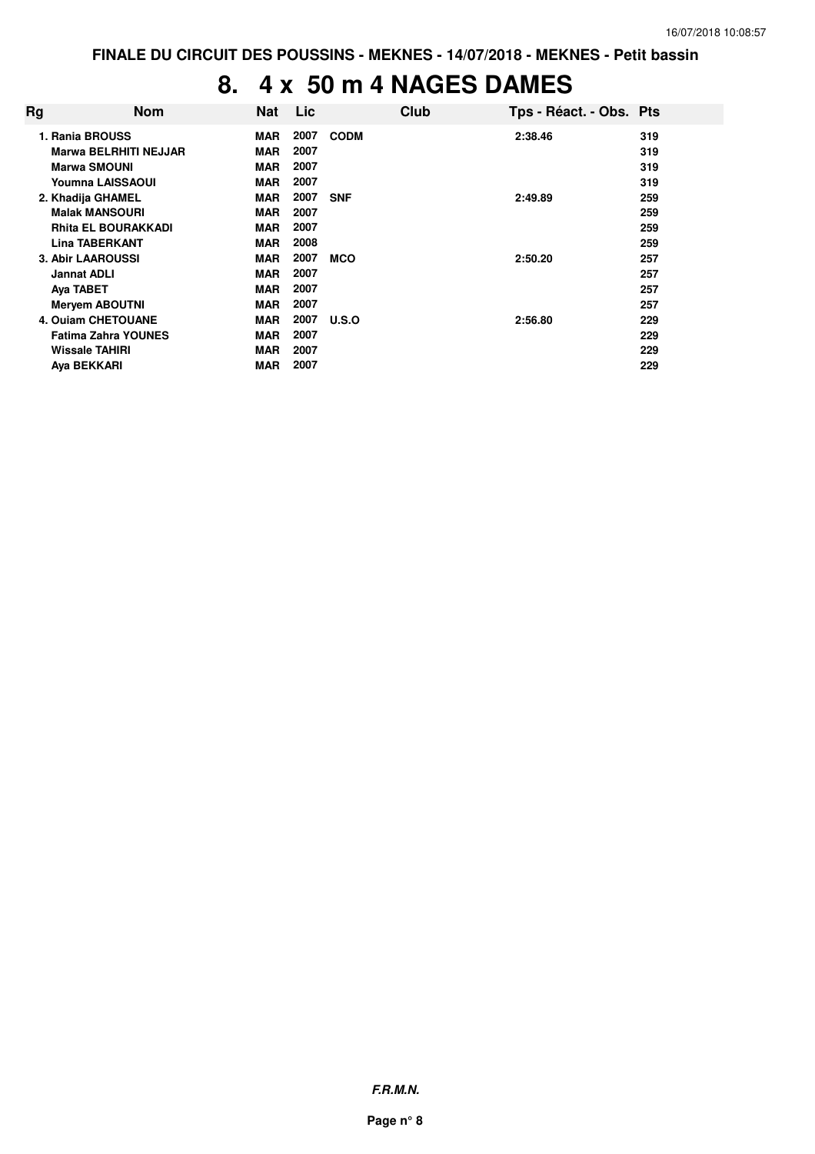## **8. 4 x 50 m 4 NAGES DAMES**

| Rg | <b>Nom</b>                   | <b>Nat</b> | Lic  | Club        | Tps - Réact. - Obs. Pts |     |
|----|------------------------------|------------|------|-------------|-------------------------|-----|
|    | 1. Rania BROUSS              | <b>MAR</b> | 2007 | <b>CODM</b> | 2:38.46                 | 319 |
|    | <b>Marwa BELRHITI NEJJAR</b> | <b>MAR</b> | 2007 |             |                         | 319 |
|    | <b>Marwa SMOUNI</b>          | <b>MAR</b> | 2007 |             |                         | 319 |
|    | Youmna LAISSAOUI             | <b>MAR</b> | 2007 |             |                         | 319 |
|    | 2. Khadija GHAMEL            | <b>MAR</b> | 2007 | <b>SNF</b>  | 2:49.89                 | 259 |
|    | <b>Malak MANSOURI</b>        | <b>MAR</b> | 2007 |             |                         | 259 |
|    | <b>Rhita EL BOURAKKADI</b>   | <b>MAR</b> | 2007 |             |                         | 259 |
|    | <b>Lina TABERKANT</b>        | <b>MAR</b> | 2008 |             |                         | 259 |
|    | <b>3. Abir LAAROUSSI</b>     | <b>MAR</b> | 2007 | <b>MCO</b>  | 2:50.20                 | 257 |
|    | <b>Jannat ADLI</b>           | <b>MAR</b> | 2007 |             |                         | 257 |
|    | Aya TABET                    | <b>MAR</b> | 2007 |             |                         | 257 |
|    | <b>Mervem ABOUTNI</b>        | <b>MAR</b> | 2007 |             |                         | 257 |
|    | 4. Ouiam CHETOUANE           | <b>MAR</b> | 2007 | U.S.O       | 2:56.80                 | 229 |
|    | <b>Fatima Zahra YOUNES</b>   | <b>MAR</b> | 2007 |             |                         | 229 |
|    | Wissale TAHIRI               | <b>MAR</b> | 2007 |             |                         | 229 |
|    | Aya BEKKARI                  | <b>MAR</b> | 2007 |             |                         | 229 |

**F.R.M.N.**

**Page n° 8**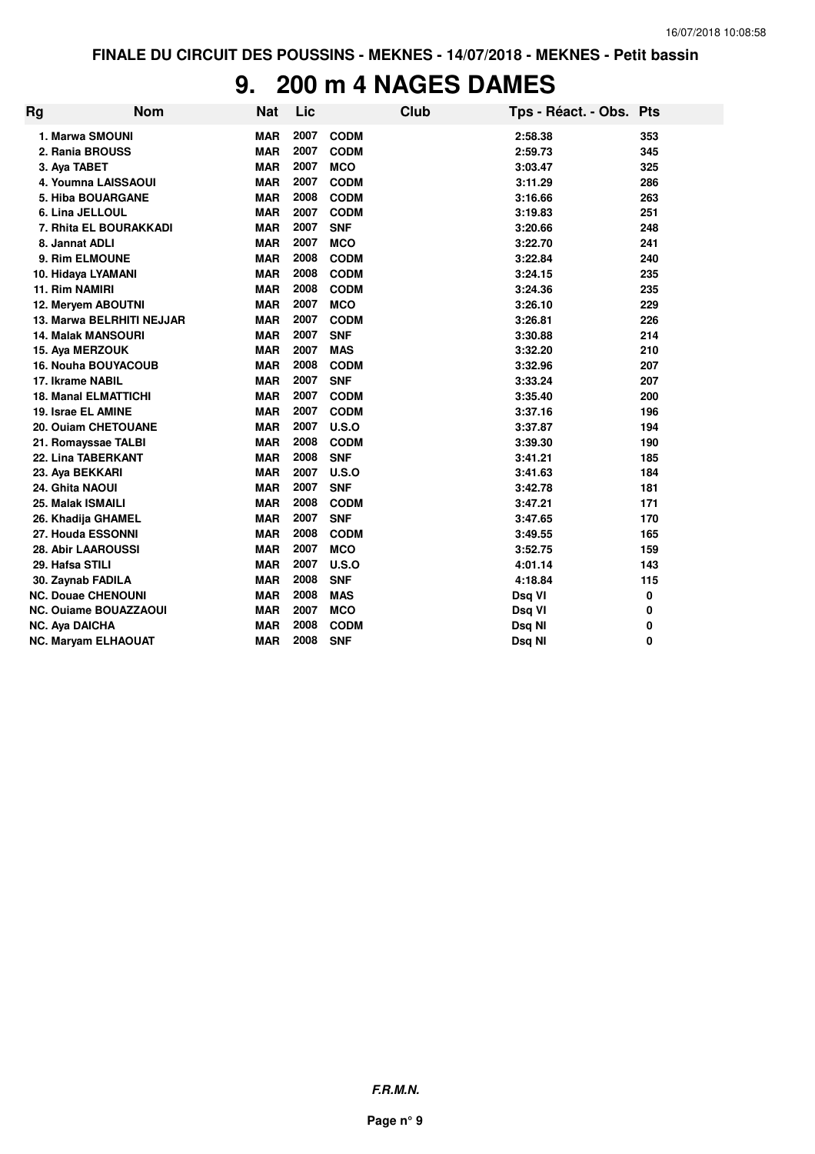#### **9. 200 m 4 NAGES DAMES**

| Rg | <b>Nom</b>                   | Nat        | Lic  |             | <b>Club</b> | Tps - Réact. - Obs. Pts |     |
|----|------------------------------|------------|------|-------------|-------------|-------------------------|-----|
|    | 1. Marwa SMOUNI              | <b>MAR</b> | 2007 | <b>CODM</b> |             | 2:58.38                 | 353 |
|    | 2. Rania BROUSS              | <b>MAR</b> | 2007 | <b>CODM</b> |             | 2:59.73                 | 345 |
|    | 3. Aya TABET                 | <b>MAR</b> | 2007 | <b>MCO</b>  |             | 3:03.47                 | 325 |
|    | 4. Youmna LAISSAOUI          | <b>MAR</b> | 2007 | <b>CODM</b> |             | 3:11.29                 | 286 |
|    | <b>5. Hiba BOUARGANE</b>     | <b>MAR</b> | 2008 | <b>CODM</b> |             | 3:16.66                 | 263 |
|    | 6. Lina JELLOUL              | <b>MAR</b> | 2007 | <b>CODM</b> |             | 3:19.83                 | 251 |
|    | 7. Rhita EL BOURAKKADI       | <b>MAR</b> | 2007 | <b>SNF</b>  |             | 3:20.66                 | 248 |
|    | 8. Jannat ADLI               | <b>MAR</b> | 2007 | <b>MCO</b>  |             | 3:22.70                 | 241 |
|    | 9. Rim ELMOUNE               | <b>MAR</b> | 2008 | <b>CODM</b> |             | 3:22.84                 | 240 |
|    | 10. Hidaya LYAMANI           | <b>MAR</b> | 2008 | <b>CODM</b> |             | 3:24.15                 | 235 |
|    | 11. Rim NAMIRI               | <b>MAR</b> | 2008 | <b>CODM</b> |             | 3:24.36                 | 235 |
|    | 12. Meryem ABOUTNI           | <b>MAR</b> | 2007 | <b>MCO</b>  |             | 3:26.10                 | 229 |
|    | 13. Marwa BELRHITI NEJJAR    | <b>MAR</b> | 2007 | <b>CODM</b> |             | 3:26.81                 | 226 |
|    | <b>14. Malak MANSOURI</b>    | <b>MAR</b> | 2007 | <b>SNF</b>  |             | 3:30.88                 | 214 |
|    | 15. Aya MERZOUK              | <b>MAR</b> | 2007 | <b>MAS</b>  |             | 3:32.20                 | 210 |
|    | <b>16. Nouha BOUYACOUB</b>   | <b>MAR</b> | 2008 | <b>CODM</b> |             | 3:32.96                 | 207 |
|    | 17. Ikrame NABIL             | <b>MAR</b> | 2007 | <b>SNF</b>  |             | 3:33.24                 | 207 |
|    | <b>18. Manal ELMATTICHI</b>  | <b>MAR</b> | 2007 | <b>CODM</b> |             | 3:35.40                 | 200 |
|    | 19. Israe EL AMINE           | <b>MAR</b> | 2007 | <b>CODM</b> |             | 3:37.16                 | 196 |
|    | 20. Ouiam CHETOUANE          | <b>MAR</b> | 2007 | U.S.O       |             | 3:37.87                 | 194 |
|    | 21. Romayssae TALBI          | <b>MAR</b> | 2008 | <b>CODM</b> |             | 3:39.30                 | 190 |
|    | 22. Lina TABERKANT           | <b>MAR</b> | 2008 | <b>SNF</b>  |             | 3:41.21                 | 185 |
|    | 23. Aya BEKKARI              | <b>MAR</b> | 2007 | U.S.O       |             | 3:41.63                 | 184 |
|    | 24. Ghita NAOUI              | <b>MAR</b> | 2007 | <b>SNF</b>  |             | 3:42.78                 | 181 |
|    | 25. Malak ISMAILI            | <b>MAR</b> | 2008 | <b>CODM</b> |             | 3:47.21                 | 171 |
|    | 26. Khadija GHAMEL           | <b>MAR</b> | 2007 | <b>SNF</b>  |             | 3:47.65                 | 170 |
|    | 27. Houda ESSONNI            | <b>MAR</b> | 2008 | <b>CODM</b> |             | 3:49.55                 | 165 |
|    | <b>28. Abir LAAROUSSI</b>    | <b>MAR</b> | 2007 | <b>MCO</b>  |             | 3:52.75                 | 159 |
|    | 29. Hafsa STILI              | <b>MAR</b> | 2007 | U.S.O       |             | 4:01.14                 | 143 |
|    | 30. Zaynab FADILA            | <b>MAR</b> | 2008 | <b>SNF</b>  |             | 4:18.84                 | 115 |
|    | <b>NC. Douae CHENOUNI</b>    | <b>MAR</b> | 2008 | <b>MAS</b>  |             | Dsq VI                  | 0   |
|    | <b>NC. Ouiame BOUAZZAOUI</b> | <b>MAR</b> | 2007 | <b>MCO</b>  |             | Dsq VI                  | 0   |
|    | <b>NC. Aya DAICHA</b>        | <b>MAR</b> | 2008 | <b>CODM</b> |             | Dsq NI                  | 0   |
|    | <b>NC. Maryam ELHAOUAT</b>   | <b>MAR</b> | 2008 | <b>SNF</b>  |             | Dsg NI                  | 0   |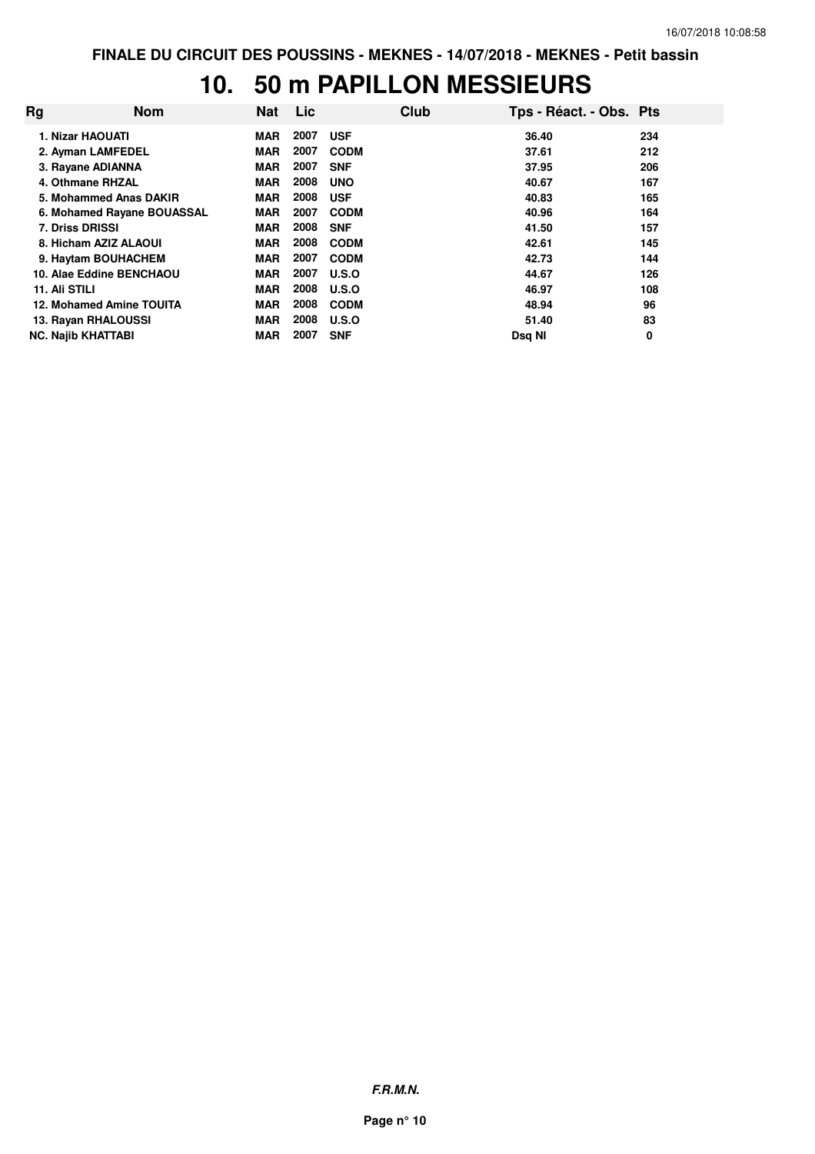# **10. 50 m PAPILLON MESSIEURS**

| Rg | <b>Nom</b>                 | <b>Nat</b> | <b>Lic</b> |              | Club | Tps - Réact. - Obs. Pts |     |
|----|----------------------------|------------|------------|--------------|------|-------------------------|-----|
|    | 1. Nizar HAOUATI           | <b>MAR</b> | 2007       | <b>USF</b>   |      | 36.40                   | 234 |
|    | 2. Ayman LAMFEDEL          | <b>MAR</b> | 2007       | <b>CODM</b>  |      | 37.61                   | 212 |
|    | 3. Rayane ADIANNA          | <b>MAR</b> | 2007       | <b>SNF</b>   |      | 37.95                   | 206 |
|    | 4. Othmane RHZAL           | <b>MAR</b> | 2008       | <b>UNO</b>   |      | 40.67                   | 167 |
|    | 5. Mohammed Anas DAKIR     | <b>MAR</b> | 2008       | <b>USF</b>   |      | 40.83                   | 165 |
|    | 6. Mohamed Rayane BOUASSAL | <b>MAR</b> | 2007       | <b>CODM</b>  |      | 40.96                   | 164 |
|    | <b>7. Driss DRISSI</b>     | <b>MAR</b> | 2008       | <b>SNF</b>   |      | 41.50                   | 157 |
|    | 8. Hicham AZIZ ALAOUI      | <b>MAR</b> | 2008       | <b>CODM</b>  |      | 42.61                   | 145 |
|    | 9. Haytam BOUHACHEM        | <b>MAR</b> | 2007       | <b>CODM</b>  |      | 42.73                   | 144 |
|    | 10. Alae Eddine BENCHAOU   | <b>MAR</b> | 2007       | <b>U.S.O</b> |      | 44.67                   | 126 |
|    | 11. Ali STILI              | <b>MAR</b> | 2008       | <b>U.S.O</b> |      | 46.97                   | 108 |
|    | 12. Mohamed Amine TOUITA   | <b>MAR</b> | 2008       | <b>CODM</b>  |      | 48.94                   | 96  |
|    | 13. Rayan RHALOUSSI        | <b>MAR</b> | 2008       | U.S.O        |      | 51.40                   | 83  |
|    | <b>NC. Najib KHATTABI</b>  | <b>MAR</b> | 2007       | <b>SNF</b>   |      | Dsg NI                  | 0   |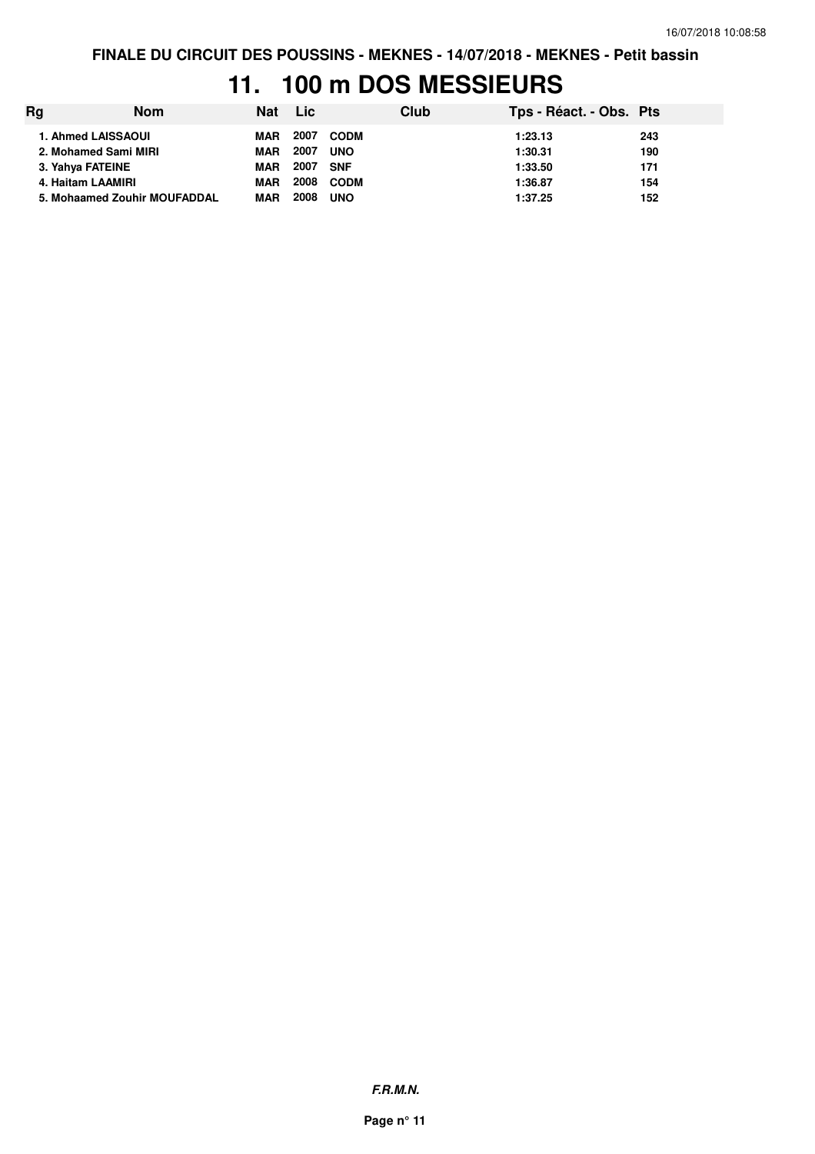## **11. 100 m DOS MESSIEURS**

| Rg                           | <b>Nom</b> | Nat Lic    |      | Club        |         | Tps - Réact. - Obs. Pts |  |
|------------------------------|------------|------------|------|-------------|---------|-------------------------|--|
| 1. Ahmed LAISSAOUI           |            | MAR        |      | 2007 CODM   | 1:23.13 | 243                     |  |
| 2. Mohamed Sami MIRI         |            | <b>MAR</b> | 2007 | <b>UNO</b>  | 1:30.31 | 190                     |  |
| 3. Yahya FATEINE             |            | <b>MAR</b> | 2007 | SNF         | 1:33.50 | 171                     |  |
| 4. Haitam LAAMIRI            |            | <b>MAR</b> | 2008 | <b>CODM</b> | 1:36.87 | 154                     |  |
| 5. Mohaamed Zouhir MOUFADDAL |            | <b>MAR</b> | 2008 | <b>UNO</b>  | 1:37.25 | 152                     |  |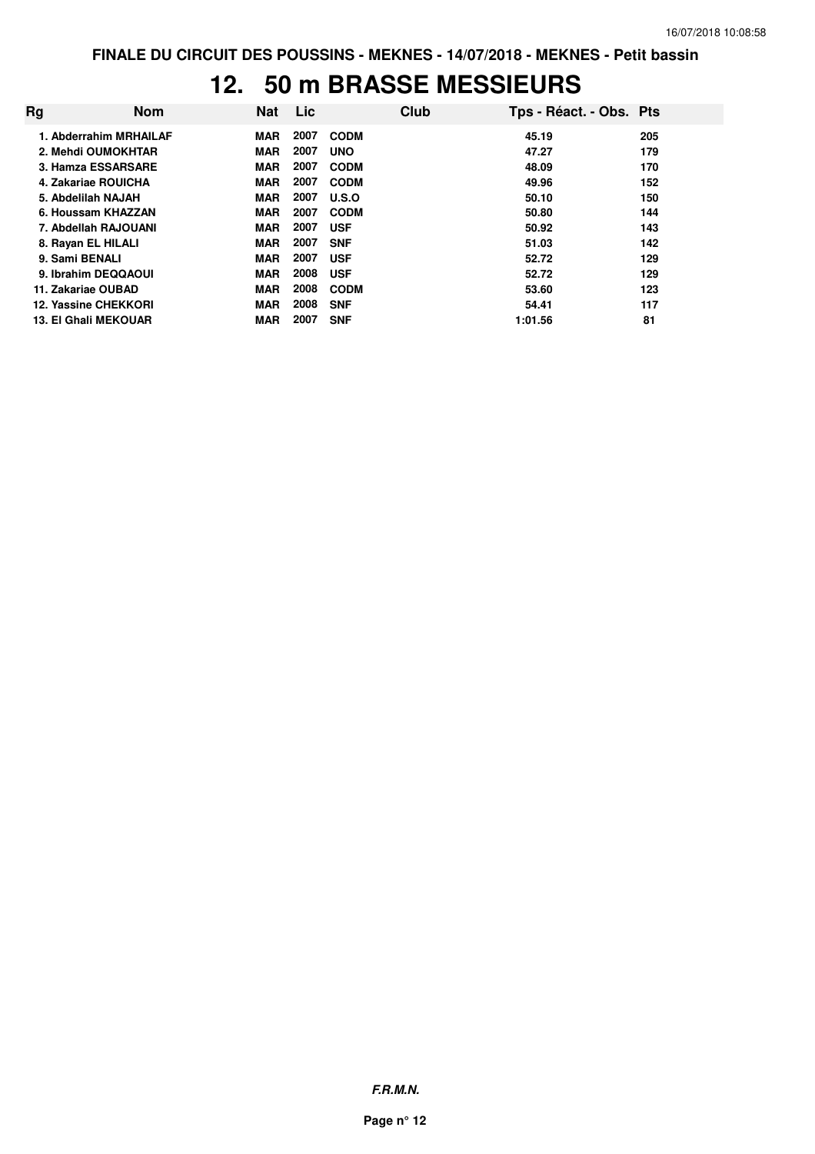#### **12. 50 m BRASSE MESSIEURS**

| Rg                          | <b>Nom</b>             | <b>Nat</b> | <b>Lic</b> | Club        | Tps - Réact. - Obs. Pts |     |
|-----------------------------|------------------------|------------|------------|-------------|-------------------------|-----|
|                             | 1. Abderrahim MRHAILAF | <b>MAR</b> | 2007       | <b>CODM</b> | 45.19                   | 205 |
| 2. Mehdi OUMOKHTAR          |                        | <b>MAR</b> | 2007       | <b>UNO</b>  | 47.27                   | 179 |
| 3. Hamza ESSARSARE          |                        | <b>MAR</b> | 2007       | <b>CODM</b> | 48.09                   | 170 |
| 4. Zakariae ROUICHA         |                        | <b>MAR</b> | 2007       | <b>CODM</b> | 49.96                   | 152 |
| 5. Abdelilah NAJAH          |                        | <b>MAR</b> | 2007       | U.S.O       | 50.10                   | 150 |
| 6. Houssam KHAZZAN          |                        | <b>MAR</b> | 2007       | <b>CODM</b> | 50.80                   | 144 |
| 7. Abdellah RAJOUANI        |                        | <b>MAR</b> | 2007       | <b>USF</b>  | 50.92                   | 143 |
| 8. Rayan EL HILALI          |                        | <b>MAR</b> | 2007       | <b>SNF</b>  | 51.03                   | 142 |
| 9. Sami BENALI              |                        | <b>MAR</b> | 2007       | <b>USF</b>  | 52.72                   | 129 |
| 9. Ibrahim DEQQAOUI         |                        | <b>MAR</b> | 2008       | <b>USF</b>  | 52.72                   | 129 |
| 11. Zakariae OUBAD          |                        | <b>MAR</b> | 2008       | <b>CODM</b> | 53.60                   | 123 |
| 12. Yassine CHEKKORI        |                        | <b>MAR</b> | 2008       | <b>SNF</b>  | 54.41                   | 117 |
| <b>13. El Ghali MEKOUAR</b> |                        | <b>MAR</b> | 2007       | <b>SNF</b>  | 1:01.56                 | 81  |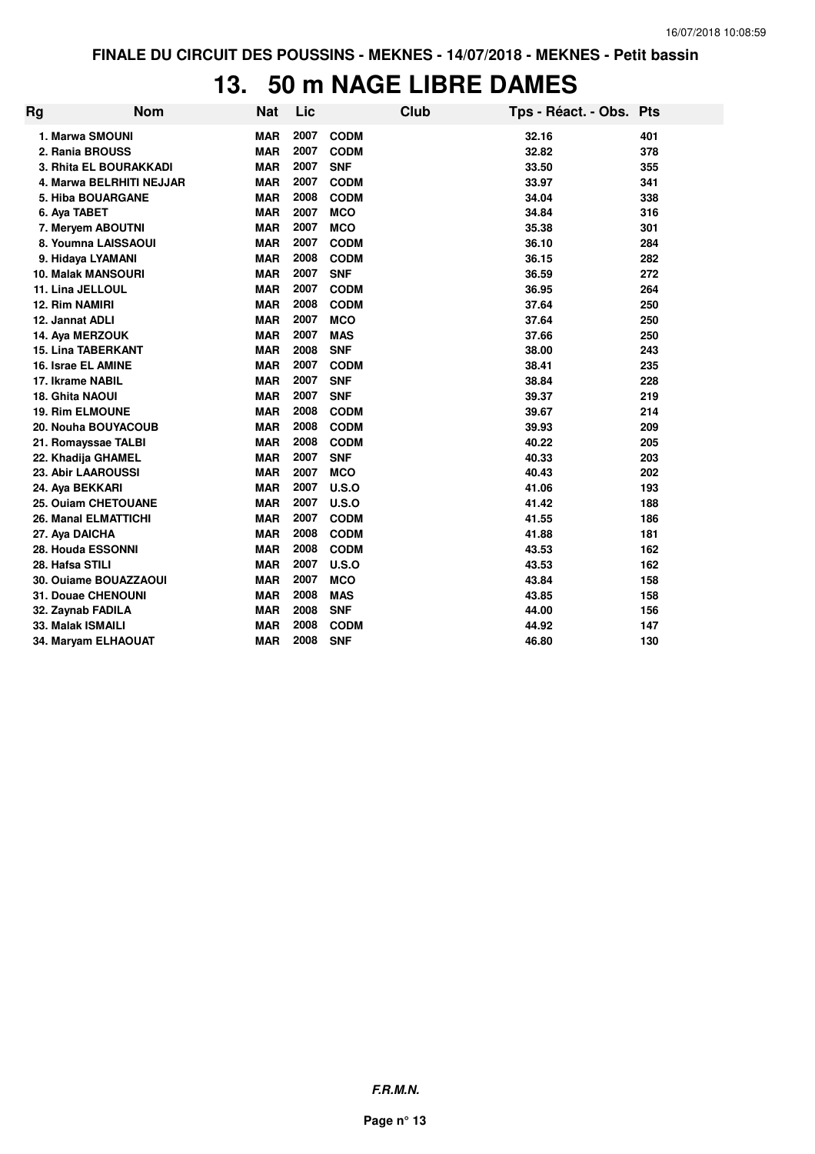## **13. 50 m NAGE LIBRE DAMES**

| Rg                          | <b>Nom</b>               | <b>Nat</b> | Lic  |             | <b>Club</b> | Tps - Réact. - Obs. Pts |     |
|-----------------------------|--------------------------|------------|------|-------------|-------------|-------------------------|-----|
| 1. Marwa SMOUNI             |                          | <b>MAR</b> | 2007 | <b>CODM</b> |             | 32.16                   | 401 |
| 2. Rania BROUSS             |                          | <b>MAR</b> | 2007 | <b>CODM</b> |             | 32.82                   | 378 |
|                             | 3. Rhita EL BOURAKKADI   | <b>MAR</b> | 2007 | <b>SNF</b>  |             | 33.50                   | 355 |
|                             | 4. Marwa BELRHITI NEJJAR | <b>MAR</b> | 2007 | <b>CODM</b> |             | 33.97                   | 341 |
| 5. Hiba BOUARGANE           |                          | <b>MAR</b> | 2008 | <b>CODM</b> |             | 34.04                   | 338 |
| 6. Aya TABET                |                          | <b>MAR</b> | 2007 | <b>MCO</b>  |             | 34.84                   | 316 |
| 7. Meryem ABOUTNI           |                          | <b>MAR</b> | 2007 | <b>MCO</b>  |             | 35.38                   | 301 |
|                             | 8. Youmna LAISSAOUI      | <b>MAR</b> | 2007 | <b>CODM</b> |             | 36.10                   | 284 |
| 9. Hidaya LYAMANI           |                          | <b>MAR</b> | 2008 | <b>CODM</b> |             | 36.15                   | 282 |
| <b>10. Malak MANSOURI</b>   |                          | <b>MAR</b> | 2007 | <b>SNF</b>  |             | 36.59                   | 272 |
| 11. Lina JELLOUL            |                          | <b>MAR</b> | 2007 | <b>CODM</b> |             | 36.95                   | 264 |
| <b>12. Rim NAMIRI</b>       |                          | <b>MAR</b> | 2008 | <b>CODM</b> |             | 37.64                   | 250 |
| 12. Jannat ADLI             |                          | <b>MAR</b> | 2007 | <b>MCO</b>  |             | 37.64                   | 250 |
| 14. Aya MERZOUK             |                          | <b>MAR</b> | 2007 | <b>MAS</b>  |             | 37.66                   | 250 |
| <b>15. Lina TABERKANT</b>   |                          | <b>MAR</b> | 2008 | <b>SNF</b>  |             | 38.00                   | 243 |
| 16. Israe EL AMINE          |                          | <b>MAR</b> | 2007 | <b>CODM</b> |             | 38.41                   | 235 |
| 17. Ikrame NABIL            |                          | <b>MAR</b> | 2007 | <b>SNF</b>  |             | 38.84                   | 228 |
| <b>18. Ghita NAOUI</b>      |                          | <b>MAR</b> | 2007 | <b>SNF</b>  |             | 39.37                   | 219 |
| <b>19. Rim ELMOUNE</b>      |                          | <b>MAR</b> | 2008 | <b>CODM</b> |             | 39.67                   | 214 |
|                             | 20. Nouha BOUYACOUB      | <b>MAR</b> | 2008 | <b>CODM</b> |             | 39.93                   | 209 |
| 21. Romayssae TALBI         |                          | <b>MAR</b> | 2008 | <b>CODM</b> |             | 40.22                   | 205 |
| 22. Khadija GHAMEL          |                          | <b>MAR</b> | 2007 | <b>SNF</b>  |             | 40.33                   | 203 |
| 23. Abir LAAROUSSI          |                          | <b>MAR</b> | 2007 | <b>MCO</b>  |             | 40.43                   | 202 |
| 24. Aya BEKKARI             |                          | <b>MAR</b> | 2007 | U.S.O       |             | 41.06                   | 193 |
| 25. Ouiam CHETOUANE         |                          | <b>MAR</b> | 2007 | U.S.O       |             | 41.42                   | 188 |
| <b>26. Manal ELMATTICHI</b> |                          | <b>MAR</b> | 2007 | <b>CODM</b> |             | 41.55                   | 186 |
| 27. Aya DAICHA              |                          | <b>MAR</b> | 2008 | <b>CODM</b> |             | 41.88                   | 181 |
| 28. Houda ESSONNI           |                          | <b>MAR</b> | 2008 | <b>CODM</b> |             | 43.53                   | 162 |
| 28. Hafsa STILI             |                          | <b>MAR</b> | 2007 | U.S.O       |             | 43.53                   | 162 |
|                             | 30. Ouiame BOUAZZAOUI    | <b>MAR</b> | 2007 | <b>MCO</b>  |             | 43.84                   | 158 |
| 31. Douae CHENOUNI          |                          | <b>MAR</b> | 2008 | <b>MAS</b>  |             | 43.85                   | 158 |
| 32. Zaynab FADILA           |                          | <b>MAR</b> | 2008 | <b>SNF</b>  |             | 44.00                   | 156 |
| 33. Malak ISMAILI           |                          | <b>MAR</b> | 2008 | <b>CODM</b> |             | 44.92                   | 147 |
| 34. Maryam ELHAOUAT         |                          | <b>MAR</b> | 2008 | <b>SNF</b>  |             | 46.80                   | 130 |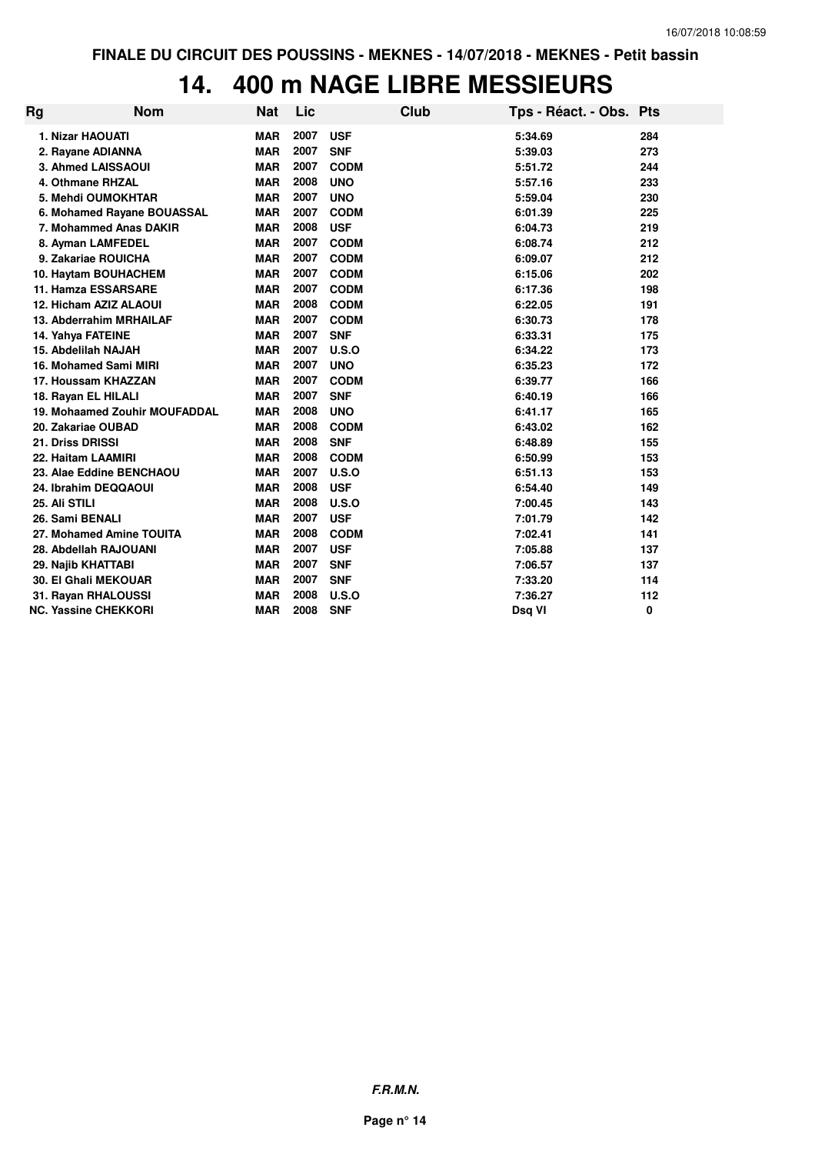# **14. 400 m NAGE LIBRE MESSIEURS**

| Rg | <b>Nom</b>                    | <b>Nat</b> | Lic  |             | <b>Club</b> | Tps - Réact. - Obs. Pts |     |
|----|-------------------------------|------------|------|-------------|-------------|-------------------------|-----|
|    | 1. Nizar HAOUATI              | <b>MAR</b> | 2007 | <b>USF</b>  |             | 5:34.69                 | 284 |
|    | 2. Rayane ADIANNA             | <b>MAR</b> | 2007 | <b>SNF</b>  |             | 5:39.03                 | 273 |
|    | 3. Ahmed LAISSAOUI            | <b>MAR</b> | 2007 | <b>CODM</b> |             | 5:51.72                 | 244 |
|    | 4. Othmane RHZAL              | <b>MAR</b> | 2008 | <b>UNO</b>  |             | 5:57.16                 | 233 |
|    | 5. Mehdi OUMOKHTAR            | <b>MAR</b> | 2007 | <b>UNO</b>  |             | 5:59.04                 | 230 |
|    | 6. Mohamed Rayane BOUASSAL    | <b>MAR</b> | 2007 | <b>CODM</b> |             | 6:01.39                 | 225 |
|    | 7. Mohammed Anas DAKIR        | <b>MAR</b> | 2008 | <b>USF</b>  |             | 6:04.73                 | 219 |
|    | 8. Ayman LAMFEDEL             | <b>MAR</b> | 2007 | <b>CODM</b> |             | 6:08.74                 | 212 |
|    | 9. Zakariae ROUICHA           | <b>MAR</b> | 2007 | <b>CODM</b> |             | 6:09.07                 | 212 |
|    | 10. Haytam BOUHACHEM          | <b>MAR</b> | 2007 | <b>CODM</b> |             | 6:15.06                 | 202 |
|    | 11. Hamza ESSARSARE           | <b>MAR</b> | 2007 | <b>CODM</b> |             | 6:17.36                 | 198 |
|    | 12. Hicham AZIZ ALAOUI        | <b>MAR</b> | 2008 | <b>CODM</b> |             | 6:22.05                 | 191 |
|    | 13. Abderrahim MRHAILAF       | <b>MAR</b> | 2007 | <b>CODM</b> |             | 6:30.73                 | 178 |
|    | 14. Yahya FATEINE             | <b>MAR</b> | 2007 | <b>SNF</b>  |             | 6:33.31                 | 175 |
|    | 15. Abdelilah NAJAH           | <b>MAR</b> | 2007 | U.S.O       |             | 6:34.22                 | 173 |
|    | 16. Mohamed Sami MIRI         | <b>MAR</b> | 2007 | <b>UNO</b>  |             | 6:35.23                 | 172 |
|    | 17. Houssam KHAZZAN           | <b>MAR</b> | 2007 | <b>CODM</b> |             | 6:39.77                 | 166 |
|    | 18. Rayan EL HILALI           | <b>MAR</b> | 2007 | <b>SNF</b>  |             | 6:40.19                 | 166 |
|    | 19. Mohaamed Zouhir MOUFADDAL | <b>MAR</b> | 2008 | <b>UNO</b>  |             | 6:41.17                 | 165 |
|    | 20. Zakariae OUBAD            | <b>MAR</b> | 2008 | <b>CODM</b> |             | 6:43.02                 | 162 |
|    | 21. Driss DRISSI              | <b>MAR</b> | 2008 | <b>SNF</b>  |             | 6:48.89                 | 155 |
|    | 22. Haitam LAAMIRI            | <b>MAR</b> | 2008 | <b>CODM</b> |             | 6:50.99                 | 153 |
|    | 23. Alae Eddine BENCHAOU      | <b>MAR</b> | 2007 | U.S.O       |             | 6:51.13                 | 153 |
|    | 24. Ibrahim DEQQAOUI          | <b>MAR</b> | 2008 | <b>USF</b>  |             | 6:54.40                 | 149 |
|    | 25. Ali STILI                 | <b>MAR</b> | 2008 | U.S.O       |             | 7:00.45                 | 143 |
|    | 26. Sami BENALI               | <b>MAR</b> | 2007 | <b>USF</b>  |             | 7:01.79                 | 142 |
|    | 27. Mohamed Amine TOUITA      | <b>MAR</b> | 2008 | <b>CODM</b> |             | 7:02.41                 | 141 |
|    | 28. Abdellah RAJOUANI         | <b>MAR</b> | 2007 | <b>USF</b>  |             | 7:05.88                 | 137 |
|    | 29. Najib KHATTABI            | <b>MAR</b> | 2007 | <b>SNF</b>  |             | 7:06.57                 | 137 |
|    | <b>30. El Ghali MEKOUAR</b>   | <b>MAR</b> | 2007 | <b>SNF</b>  |             | 7:33.20                 | 114 |
|    | 31. Rayan RHALOUSSI           | <b>MAR</b> | 2008 | U.S.O       |             | 7:36.27                 | 112 |
|    | <b>NC. Yassine CHEKKORI</b>   | <b>MAR</b> | 2008 | <b>SNF</b>  |             | Dsg VI                  | 0   |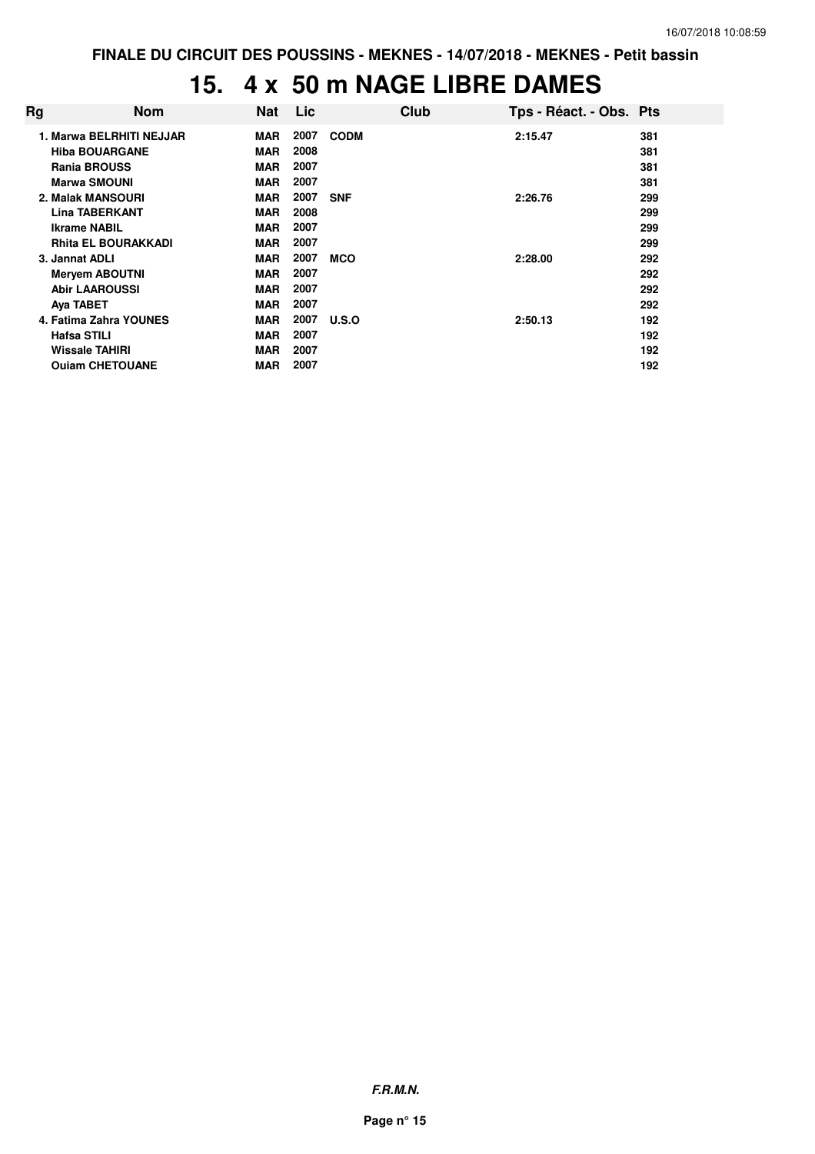**FINALE DU CIRCUIT DES POUSSINS - MEKNES - 14/07/2018 - MEKNES - Petit bassin**

# **15. 4 x 50 m NAGE LIBRE DAMES**

| Rg                 | <b>Nom</b>                 | <b>Nat</b> | Lic  | Club        | Tps - Réact. - Obs. Pts |     |
|--------------------|----------------------------|------------|------|-------------|-------------------------|-----|
|                    | 1. Marwa BELRHITI NEJJAR   | <b>MAR</b> | 2007 | <b>CODM</b> | 2:15.47                 | 381 |
|                    | <b>Hiba BOUARGANE</b>      | <b>MAR</b> | 2008 |             |                         | 381 |
|                    | <b>Rania BROUSS</b>        | <b>MAR</b> | 2007 |             |                         | 381 |
|                    | <b>Marwa SMOUNI</b>        | <b>MAR</b> | 2007 |             |                         | 381 |
|                    | 2. Malak MANSOURI          | <b>MAR</b> | 2007 | <b>SNF</b>  | 2:26.76                 | 299 |
|                    | <b>Lina TABERKANT</b>      | <b>MAR</b> | 2008 |             |                         | 299 |
|                    | <b>Ikrame NABIL</b>        | <b>MAR</b> | 2007 |             |                         | 299 |
|                    | <b>Rhita EL BOURAKKADI</b> | <b>MAR</b> | 2007 |             |                         | 299 |
| 3. Jannat ADLI     |                            | <b>MAR</b> | 2007 | <b>MCO</b>  | 2:28.00                 | 292 |
|                    | <b>Mervem ABOUTNI</b>      | <b>MAR</b> | 2007 |             |                         | 292 |
|                    | <b>Abir LAAROUSSI</b>      | <b>MAR</b> | 2007 |             |                         | 292 |
| Aya TABET          |                            | <b>MAR</b> | 2007 |             |                         | 292 |
|                    | 4. Fatima Zahra YOUNES     | <b>MAR</b> | 2007 | U.S.O       | 2:50.13                 | 192 |
| <b>Hafsa STILI</b> |                            | <b>MAR</b> | 2007 |             |                         | 192 |
|                    | Wissale TAHIRI             | <b>MAR</b> | 2007 |             |                         | 192 |
|                    | <b>Ouiam CHETOUANE</b>     | MAR        | 2007 |             |                         | 192 |